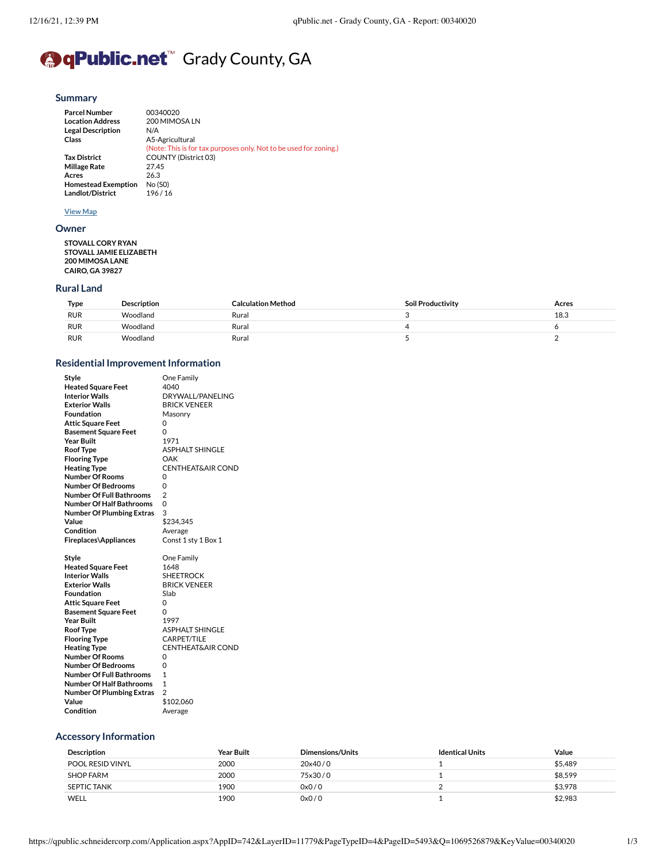# **<sup>●</sup>qPublic.net™** Grady County, GA

#### **[Summary](https://qpublic.schneidercorp.com/Application.aspx?AppID=742&LayerID=11779&PageTypeID=4&PageID=5493&Q=1420574500&KeyValue=00340020)**

| <b>Parcel Number</b>       | 00340020                                                          |
|----------------------------|-------------------------------------------------------------------|
| <b>Location Address</b>    | 200 MIMOSA LN                                                     |
| <b>Legal Description</b>   | N/A                                                               |
| Class                      | A5-Agricultural                                                   |
|                            | (Note: This is for tax purposes only. Not to be used for zoning.) |
| <b>Tax District</b>        | <b>COUNTY (District 03)</b>                                       |
| <b>Millage Rate</b>        | 27.45                                                             |
| Acres                      | 26.3                                                              |
| <b>Homestead Exemption</b> | No (SO)                                                           |
| Landlot/District           | 196/16                                                            |

#### **[View Map](https://qpublic.schneidercorp.com/Application.aspx?AppID=742&LayerID=11779&PageTypeID=1&PageID=0&Q=814146709&KeyValue=00340020)**

#### **[Owner](https://qpublic.schneidercorp.com/Application.aspx?AppID=742&LayerID=11779&PageTypeID=4&PageID=5493&Q=814146709&KeyValue=00340020)**

**STOVALL CORY RYAN STOVALL JAMIE ELIZABETH 200 MIMOSA LANE CAIRO, GA 39827**

#### **[Rural](https://qpublic.schneidercorp.com/Application.aspx?AppID=742&LayerID=11779&PageTypeID=4&PageID=5493&Q=1233302746&KeyValue=00340020) Land**

| Type       | <b>Description</b> | Calculation Method | Soil Productivity | Acres |
|------------|--------------------|--------------------|-------------------|-------|
| <b>RUR</b> | `Voodland          | Rural              |                   | 18.3  |
| <b>RUR</b> | `^/oodland         | Rural              |                   |       |
| <b>RUR</b> | ™oodlang           | Rural              |                   |       |

# **Residential Improvement Information**

| Style                            | One Family                   |
|----------------------------------|------------------------------|
| <b>Heated Square Feet</b>        | 4040                         |
| <b>Interior Walls</b>            | DRYWALL/PANELING             |
| <b>Fxterior Walls</b>            | <b>BRICK VENEER</b>          |
| Foundation                       | Masonry                      |
| <b>Attic Square Feet</b>         | 0                            |
| <b>Basement Square Feet</b>      | 0                            |
| <b>Year Built</b>                | 1971                         |
| <b>Roof Type</b>                 | <b>ASPHALT SHINGLE</b>       |
| <b>Flooring Type</b>             | OAK                          |
| <b>Heating Type</b>              | <b>CENTHEAT&amp;AIR COND</b> |
| <b>Number Of Rooms</b>           | 0                            |
| <b>Number Of Bedrooms</b>        | 0                            |
| <b>Number Of Full Bathrooms</b>  | $\overline{2}$               |
| <b>Number Of Half Bathrooms</b>  | $\Omega$                     |
| <b>Number Of Plumbing Extras</b> | 3                            |
| Value                            | \$234,345                    |
| Condition                        | Average                      |
| Fireplaces\Appliances            | Const 1 sty 1 Box 1          |
|                                  |                              |
| Style                            | One Family                   |
| <b>Heated Square Feet</b>        | 1648                         |
| <b>Interior Walls</b>            | <b>SHEETROCK</b>             |
| <b>Exterior Walls</b>            | <b>BRICK VENEER</b>          |
| Foundation                       | Slab                         |
| <b>Attic Square Feet</b>         | 0                            |
| <b>Basement Square Feet</b>      | 0                            |
| <b>Year Built</b>                | 1997                         |
| <b>Roof Type</b>                 | <b>ASPHALT SHINGLE</b>       |
| <b>Flooring Type</b>             | CARPET/TILE                  |
| <b>Heating Type</b>              | <b>CENTHEAT&amp;AIR COND</b> |
| <b>Number Of Rooms</b>           | 0                            |
| <b>Number Of Bedrooms</b>        | 0                            |
| <b>Number Of Full Bathrooms</b>  | 1                            |
| <b>Number Of Half Bathrooms</b>  | $\mathbf{1}$                 |
| <b>Number Of Plumbing Extras</b> | $\overline{2}$               |
| Value                            | \$102,060<br>Average         |

# **Accessory [Information](https://qpublic.schneidercorp.com/Application.aspx?AppID=742&LayerID=11779&PageTypeID=4&PageID=5493&Q=1532971175&KeyValue=00340020)**

| <b>Description</b> | <b>Year Built</b> | <b>Dimensions/Units</b> | <b>Identical Units</b> | Value   |
|--------------------|-------------------|-------------------------|------------------------|---------|
| POOL RESID VINYL   | 2000              | 20x40/0                 |                        | \$5.489 |
| <b>SHOP FARM</b>   | 2000              | 75x30/0                 |                        | \$8.599 |
| SEPTIC TANK        | 1900              | 0x0/0                   |                        | \$3,978 |
| WELL               | 1900              | 0x0/0                   |                        | \$2.983 |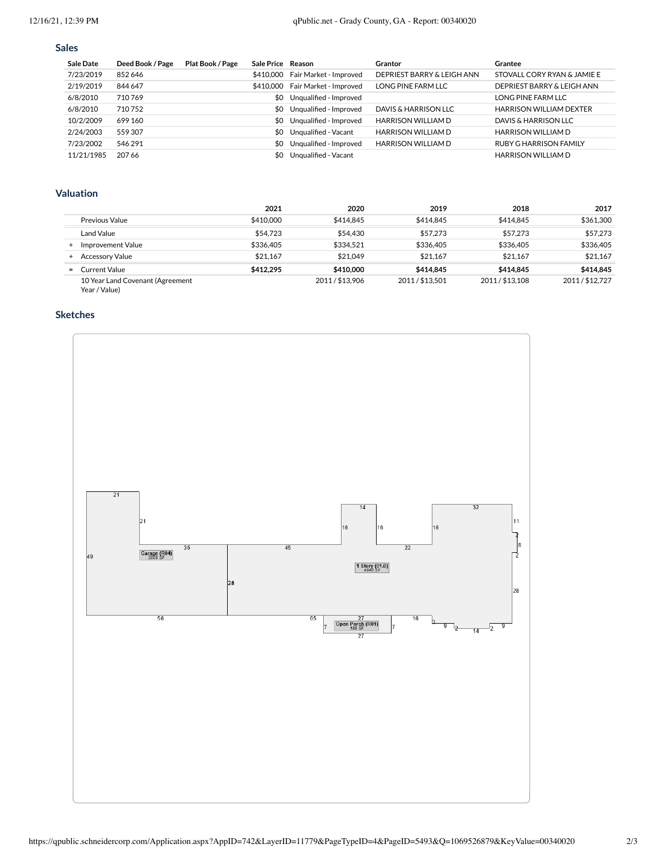# **[Sales](https://qpublic.schneidercorp.com/Application.aspx?AppID=742&LayerID=11779&PageTypeID=4&PageID=5493&Q=1689980379&KeyValue=00340020)**

| <b>Sale Date</b> | Deed Book / Page | Plat Book / Page | Sale Price Reason |                        | Grantor                    | Grantee                        |
|------------------|------------------|------------------|-------------------|------------------------|----------------------------|--------------------------------|
| 7/23/2019        | 852646           |                  | \$410,000         | Fair Market - Improved | DEPRIEST BARRY & LEIGH ANN | STOVALL CORY RYAN & JAMIE E    |
| 2/19/2019        | 844 647          |                  | \$410,000         | Fair Market - Improved | LONG PINE FARM LLC         | DEPRIEST BARRY & LEIGH ANN     |
| 6/8/2010         | 710769           |                  | \$0               | Unqualified - Improved |                            | LONG PINE FARM LLC             |
| 6/8/2010         | 710752           |                  | \$0               | Unqualified - Improved | DAVIS & HARRISON LLC       | <b>HARRISON WILLIAM DEXTER</b> |
| 10/2/2009        | 699 160          |                  | SO.               | Unqualified - Improved | <b>HARRISON WILLIAM D</b>  | DAVIS & HARRISON LLC           |
| 2/24/2003        | 559307           |                  | SO.               | Unqualified - Vacant   | <b>HARRISON WILLIAM D</b>  | <b>HARRISON WILLIAM D</b>      |
| 7/23/2002        | 546 291          |                  | SO.               | Unqualified - Improved | <b>HARRISON WILLIAM D</b>  | RUBY G HARRISON FAMILY         |
| 11/21/1985       | 207.66           |                  | SO.               | Ungualified - Vacant   |                            | <b>HARRISON WILLIAM D</b>      |

# **[Valuation](https://qpublic.schneidercorp.com/Application.aspx?AppID=742&LayerID=11779&PageTypeID=4&PageID=5493&Q=1689980379&KeyValue=00340020)**

|                |                                                   | 2021      | 2020          | 2019          | 2018          | 2017          |
|----------------|---------------------------------------------------|-----------|---------------|---------------|---------------|---------------|
|                | Previous Value                                    | \$410,000 | \$414.845     | \$414.845     | \$414.845     | \$361,300     |
|                | Land Value                                        | \$54,723  | \$54,430      | \$57,273      | \$57,273      | \$57,273      |
|                | Improvement Value                                 | \$336,405 | \$334.521     | \$336,405     | \$336,405     | \$336,405     |
|                | <b>Accessory Value</b>                            | \$21.167  | \$21.049      | \$21.167      | \$21.167      | \$21.167      |
| $=$ $\sqrt{ }$ | Current Value                                     | \$412,295 | \$410,000     | \$414.845     | \$414.845     | \$414.845     |
|                | 10 Year Land Covenant (Agreement<br>Year / Value) |           | 2011/\$13.906 | 2011/\$13.501 | 2011/\$13.108 | 2011/\$12.727 |

# **[Sketches](https://qpublic.schneidercorp.com/Application.aspx?AppID=742&LayerID=11779&PageTypeID=4&PageID=5493&Q=1689980379&KeyValue=00340020)**